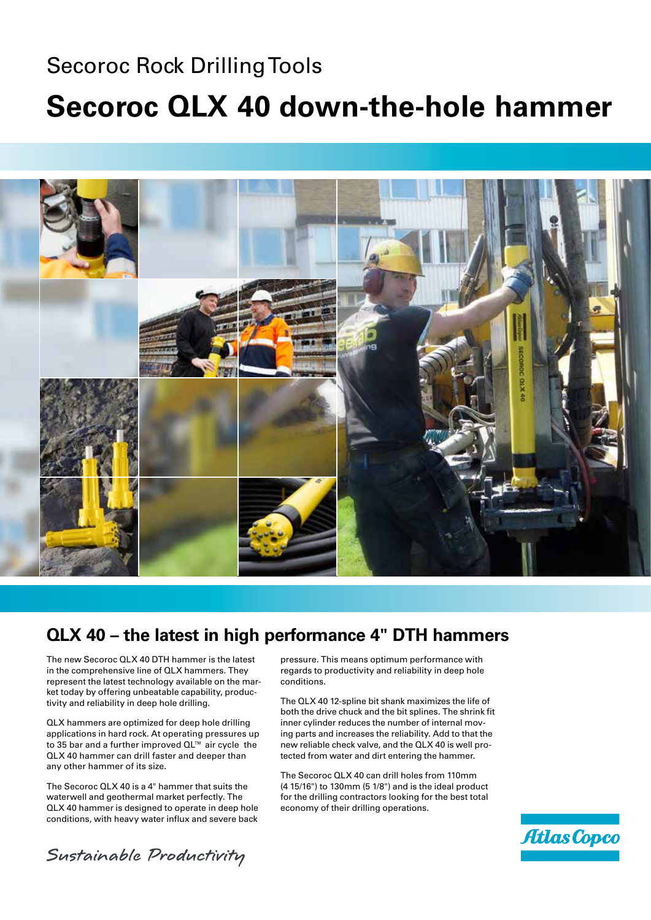# Secoroc Rock Drilling Tools **Secoroc QLX 40 down-the-hole hammer**



#### **QLX 40 – the latest in high performance 4" DTH hammers**

The new Secoroc QLX 40 DTH hammer is the latest in the comprehensive line of QLX hammers. They represent the latest technology available on the market today by offering unbeatable capability, productivity and reliability in deep hole drilling.

QLX hammers are optimized for deep hole drilling applications in hard rock. At operating pressures up to 35 bar and a further improved QL™ air cycle the QLX 40 hammer can drill faster and deeper than any other hammer of its size.

The Secoroc QLX 40 is a 4" hammer that suits the waterwell and geothermal market perfectly. The QLX 40 hammer is designed to operate in deep hole conditions, with heavy water influx and severe back

pressure. This means optimum performance with regards to productivity and reliability in deep hole conditions.

The QLX 40 12-spline bit shank maximizes the life of both the drive chuck and the bit splines. The shrink fit inner cylinder reduces the number of internal moving parts and increases the reliability. Add to that the new reliable check valve, and the QLX 40 is well protected from water and dirt entering the hammer.

The Secoroc QLX 40 can drill holes from 110mm (4 15/16") to 130mm (5 1/8") and is the ideal product for the drilling contractors looking for the best total economy of their drilling operations.



Sustainable Productivity